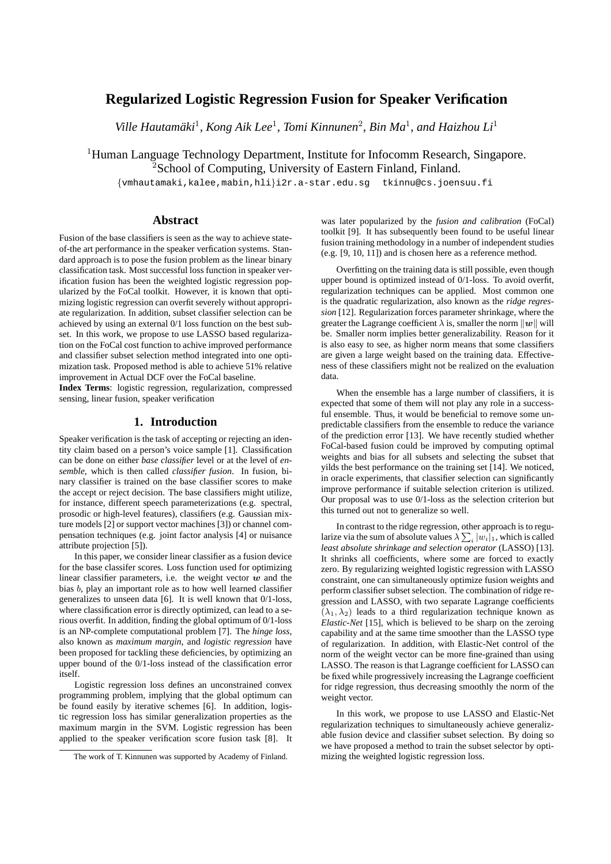# **Regularized Logistic Regression Fusion for Speaker Verification**

Ville Hautamäki<sup>1</sup>, Kong Aik Lee<sup>1</sup>, Tomi Kinnunen<sup>2</sup>, Bin Ma<sup>1</sup>, and Haizhou Li<sup>1</sup>

<sup>1</sup>Human Language Technology Department, Institute for Infocomm Research, Singapore. <sup>2</sup>School of Computing, University of Eastern Finland, Finland.

{vmhautamaki,kalee,mabin,hli}i2r.a-star.edu.sg tkinnu@cs.joensuu.fi

#### **Abstract**

Fusion of the base classifiers is seen as the way to achieve stateof-the art performance in the speaker verfication systems. Standard approach is to pose the fusion problem as the linear binary classification task. Most successful loss function in speaker verification fusion has been the weighted logistic regression popularized by the FoCal toolkit. However, it is known that optimizing logistic regression can overfit severely without appropriate regularization. In addition, subset classifier selection can be achieved by using an external 0/1 loss function on the best subset. In this work, we propose to use LASSO based regularization on the FoCal cost function to achive improved performance and classifier subset selection method integrated into one optimization task. Proposed method is able to achieve 51% relative improvement in Actual DCF over the FoCal baseline.

**Index Terms**: logistic regression, regularization, compressed sensing, linear fusion, speaker verification

### **1. Introduction**

Speaker verification is the task of accepting or rejecting an identity claim based on a person's voice sample [1]. Classification can be done on either *base classifier* level or at the level of *ensemble*, which is then called *classifier fusion*. In fusion, binary classifier is trained on the base classifier scores to make the accept or reject decision. The base classifiers might utilize, for instance, different speech parameterizations (e.g. spectral, prosodic or high-level features), classifiers (e.g. Gaussian mixture models [2] or support vector machines [3]) or channel compensation techniques (e.g. joint factor analysis [4] or nuisance attribute projection [5]).

In this paper, we consider linear classifier as a fusion device for the base classifer scores. Loss function used for optimizing linear classifier parameters, i.e. the weight vector  $w$  and the bias b, play an important role as to how well learned classifier generalizes to unseen data [6]. It is well known that 0/1-loss, where classification error is directly optimized, can lead to a serious overfit. In addition, finding the global optimum of 0/1-loss is an NP-complete computational problem [7]. The *hinge loss*, also known as *maximum margin*, and *logistic regression* have been proposed for tackling these deficiencies, by optimizing an upper bound of the 0/1-loss instead of the classification error itself.

Logistic regression loss defines an unconstrained convex programming problem, implying that the global optimum can be found easily by iterative schemes [6]. In addition, logistic regression loss has similar generalization properties as the maximum margin in the SVM. Logistic regression has been applied to the speaker verification score fusion task [8]. It

was later popularized by the *fusion and calibration* (FoCal) toolkit [9]. It has subsequently been found to be useful linear fusion training methodology in a number of independent studies (e.g. [9, 10, 11]) and is chosen here as a reference method.

Overfitting on the training data is still possible, even though upper bound is optimized instead of 0/1-loss. To avoid overfit, regularization techniques can be applied. Most common one is the quadratic regularization, also known as the *ridge regression* [12]. Regularization forces parameter shrinkage, where the greater the Lagrange coefficient  $\lambda$  is, smaller the norm  $||w||$  will be. Smaller norm implies better generalizability. Reason for it is also easy to see, as higher norm means that some classifiers are given a large weight based on the training data. Effectiveness of these classifiers might not be realized on the evaluation data.

When the ensemble has a large number of classifiers, it is expected that some of them will not play any role in a successful ensemble. Thus, it would be beneficial to remove some unpredictable classifiers from the ensemble to reduce the variance of the prediction error [13]. We have recently studied whether FoCal-based fusion could be improved by computing optimal weights and bias for all subsets and selecting the subset that yilds the best performance on the training set [14]. We noticed, in oracle experiments, that classifier selection can significantly improve performance if suitable selection criterion is utilized. Our proposal was to use 0/1-loss as the selection criterion but this turned out not to generalize so well.

In contrast to the ridge regression, other approach is to regularize via the sum of absolute values  $\lambda\sum_i |w_i|_1$ , which is called *least absolute shrinkage and selection operator* (LASSO) [13]. It shrinks all coefficients, where some are forced to exactly zero. By regularizing weighted logistic regression with LASSO constraint, one can simultaneously optimize fusion weights and perform classifier subset selection. The combination of ridge regression and LASSO, with two separate Lagrange coefficients  $(\lambda_1, \lambda_2)$  leads to a third regularization technique known as *Elastic-Net* [15], which is believed to be sharp on the zeroing capability and at the same time smoother than the LASSO type of regularization. In addition, with Elastic-Net control of the norm of the weight vector can be more fine-grained than using LASSO. The reason is that Lagrange coefficient for LASSO can be fixed while progressively increasing the Lagrange coefficient for ridge regression, thus decreasing smoothly the norm of the weight vector.

In this work, we propose to use LASSO and Elastic-Net regularization techniques to simultaneously achieve generalizable fusion device and classifier subset selection. By doing so we have proposed a method to train the subset selector by optimizing the weighted logistic regression loss.

The work of T. Kinnunen was supported by Academy of Finland.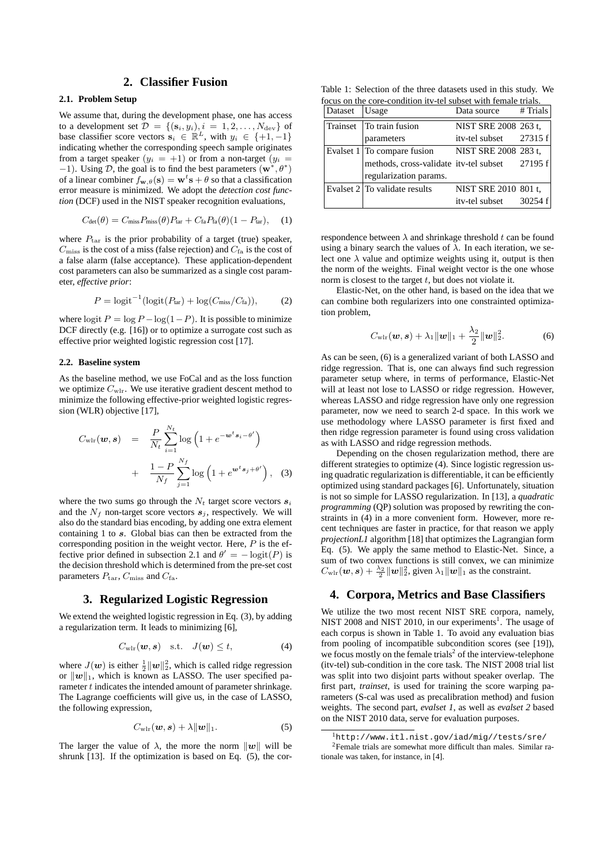#### **2. Classifier Fusion**

#### **2.1. Problem Setup**

We assume that, during the development phase, one has access to a development set  $\mathcal{D} = \{(\mathbf{s}_i, y_i), i = 1, 2, \dots, N_{\text{dev}}\}\$  of base classifier score vectors  $\mathbf{s}_i \in \mathbb{R}^L$ , with  $y_i \in \{+1, -1\}$ indicating whether the corresponding speech sample originates from a target speaker  $(y_i = +1)$  or from a non-target  $(y_i =$  $-1$ ). Using  $\mathcal{D}$ , the goal is to find the best parameters  $(\mathbf{w}^*, \theta^*)$ of a linear combiner  $f_{\mathbf{w},\theta}(\mathbf{s}) = \mathbf{w}^t \mathbf{s} + \theta$  so that a classification error measure is minimized. We adopt the *detection cost function* (DCF) used in the NIST speaker recognition evaluations,

$$
C_{\text{det}}(\theta) = C_{\text{miss}} P_{\text{miss}}(\theta) P_{\text{tar}} + C_{\text{fa}} P_{\text{fa}}(\theta) (1 - P_{\text{tar}}), \quad (1)
$$

where  $P_{\text{tar}}$  is the prior probability of a target (true) speaker,  $C_{\text{miss}}$  is the cost of a miss (false rejection) and  $C_{\text{fa}}$  is the cost of a false alarm (false acceptance). These application-dependent cost parameters can also be summarized as a single cost parameter, *effective prior*:

$$
P = \text{logit}^{-1}(\text{logit}(P_{\text{tar}}) + \text{log}(C_{\text{miss}}/C_{\text{fa}})),\tag{2}
$$

where logit  $P = \log P - \log(1-P)$ . It is possible to minimize DCF directly (e.g. [16]) or to optimize a surrogate cost such as effective prior weighted logistic regression cost [17].

#### **2.2. Baseline system**

As the baseline method, we use FoCal and as the loss function we optimize  $C_{\text{wlr}}$ . We use iterative gradient descent method to minimize the following effective-prior weighted logistic regression (WLR) objective [17],

$$
C_{\text{wlr}}(\boldsymbol{w}, \boldsymbol{s}) = \frac{P}{N_t} \sum_{i=1}^{N_t} \log \left( 1 + e^{-\boldsymbol{w}^t \boldsymbol{s}_i - \theta'} \right)
$$

$$
+ \frac{1 - P}{N_f} \sum_{j=1}^{N_f} \log \left( 1 + e^{\boldsymbol{w}^t \boldsymbol{s}_j + \theta'} \right), \quad (3)
$$

where the two sums go through the  $N_t$  target score vectors  $s_i$ and the  $N_f$  non-target score vectors  $s_i$ , respectively. We will also do the standard bias encoding, by adding one extra element containing 1 to s. Global bias can then be extracted from the corresponding position in the weight vector. Here,  $P$  is the effective prior defined in subsection 2.1 and  $\theta' = -\logit(P)$  is the decision threshold which is determined from the pre-set cost parameters  $P_{\text{tar}}$ ,  $C_{\text{miss}}$  and  $C_{\text{fa}}$ .

### **3. Regularized Logistic Regression**

We extend the weighted logistic regression in Eq. (3), by adding a regularization term. It leads to minimizing [6],

$$
C_{\text{wlr}}(\boldsymbol{w}, \boldsymbol{s}) \quad \text{s.t.} \quad J(\boldsymbol{w}) \le t, \tag{4}
$$

where  $J(w)$  is either  $\frac{1}{2}||w||_2^2$ , which is called ridge regression or  $\|\boldsymbol{w}\|_1$ , which is known as LASSO. The user specified parameter t indicates the intended amount of parameter shrinkage. The Lagrange coefficients will give us, in the case of LASSO, the following expression,

$$
C_{\text{wlr}}(\boldsymbol{w},\boldsymbol{s}) + \lambda \|\boldsymbol{w}\|_1. \tag{5}
$$

The larger the value of  $\lambda$ , the more the norm  $\|\mathbf{w}\|$  will be shrunk [13]. If the optimization is based on Eq. (5), the cor-

Table 1: Selection of the three datasets used in this study. We focus on the core-condition itv-tel subset with female trials.

| Dataset  | Usage                                          | Data source            | # Trials |
|----------|------------------------------------------------|------------------------|----------|
| Trainset | To train fusion                                | NIST SRE 2008 263 t.   |          |
|          | parameters                                     | ity-tel subset 27315 f |          |
|          | Evalset $1 $ To compare fusion                 | NIST SRE 2008 283 t,   |          |
|          | methods, cross-validate itv-tel subset 27195 f |                        |          |
|          | regularization params.                         |                        |          |
|          | Evalset 2 To validate results                  | NIST SRE 2010 801 t.   |          |
|          |                                                | itv-tel subset         | 30254 f  |

respondence between  $\lambda$  and shrinkage threshold t can be found using a binary search the values of  $\lambda$ . In each iteration, we select one  $\lambda$  value and optimize weights using it, output is then the norm of the weights. Final weight vector is the one whose norm is closest to the target  $t$ , but does not violate it.

Elastic-Net, on the other hand, is based on the idea that we can combine both regularizers into one constrainted optimization problem,

$$
C_{\text{wlr}}(\boldsymbol{w}, \boldsymbol{s}) + \lambda_1 \|\boldsymbol{w}\|_1 + \frac{\lambda_2}{2} \|\boldsymbol{w}\|_2^2.
$$
 (6)

As can be seen, (6) is a generalized variant of both LASSO and ridge regression. That is, one can always find such regression parameter setup where, in terms of performance, Elastic-Net will at least not lose to LASSO or ridge regression. However, whereas LASSO and ridge regression have only one regression parameter, now we need to search 2-d space. In this work we use methodology where LASSO parameter is first fixed and then ridge regression parameter is found using cross validation as with LASSO and ridge regression methods.

Depending on the chosen regularization method, there are different strategies to optimize (4). Since logistic regression using quadratic regularization is differentiable, it can be efficiently optimized using standard packages [6]. Unfortunately, situation is not so simple for LASSO regularization. In [13], a *quadratic programming* (QP) solution was proposed by rewriting the constraints in (4) in a more convenient form. However, more recent techniques are faster in practice, for that reason we apply *projectionL1* algorithm [18] that optimizes the Lagrangian form Eq. (5). We apply the same method to Elastic-Net. Since, a sum of two convex functions is still convex, we can minimize  $C_{\text{wlr}}({\bm{w}}, {\bm{s}}) + \frac{\lambda_2}{2} {\|\bm{w}\|_2^2}$ , given  $\lambda_1 \|{\bm{w}}\|_1$  as the constraint.

### **4. Corpora, Metrics and Base Classifiers**

We utilize the two most recent NIST SRE corpora, namely, NIST 2008 and NIST 2010, in our experiments<sup>1</sup>. The usage of each corpus is shown in Table 1. To avoid any evaluation bias from pooling of incompatible subcondition scores (see [19]), we focus mostly on the female trials<sup>2</sup> of the interview-telephone (itv-tel) sub-condition in the core task. The NIST 2008 trial list was split into two disjoint parts without speaker overlap. The first part, *trainset*, is used for training the score warping parameters (S-cal was used as precalibration method) and fusion weights. The second part, *evalset 1*, as well as *evalset 2* based on the NIST 2010 data, serve for evaluation purposes.

<sup>1</sup>http://www.itl.nist.gov/iad/mig//tests/sre/ <sup>2</sup>Female trials are somewhat more difficult than males. Similar rationale was taken, for instance, in [4].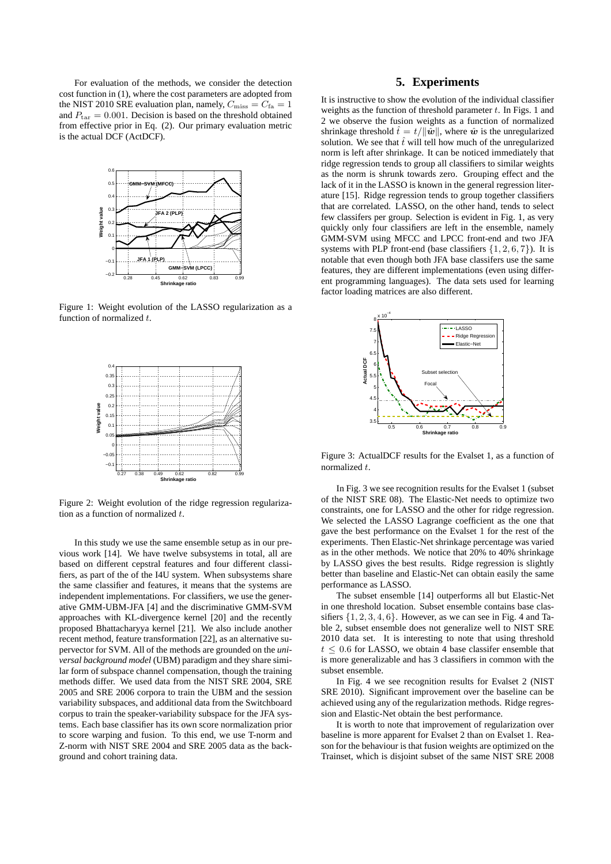For evaluation of the methods, we consider the detection cost function in (1), where the cost parameters are adopted from the NIST 2010 SRE evaluation plan, namely,  $C_{\text{miss}} = C_{\text{fa}} = 1$ and  $P_{\text{tar}} = 0.001$ . Decision is based on the threshold obtained from effective prior in Eq. (2). Our primary evaluation metric is the actual DCF (ActDCF).



Figure 1: Weight evolution of the LASSO regularization as a function of normalized  $t$ .



Figure 2: Weight evolution of the ridge regression regularization as a function of normalized  $t$ .

In this study we use the same ensemble setup as in our previous work [14]. We have twelve subsystems in total, all are based on different cepstral features and four different classifiers, as part of the of the I4U system. When subsystems share the same classifier and features, it means that the systems are independent implementations. For classifiers, we use the generative GMM-UBM-JFA [4] and the discriminative GMM-SVM approaches with KL-divergence kernel [20] and the recently proposed Bhattacharyya kernel [21]. We also include another recent method, feature transformation [22], as an alternative supervector for SVM. All of the methods are grounded on the *universal background model* (UBM) paradigm and they share similar form of subspace channel compensation, though the training methods differ. We used data from the NIST SRE 2004, SRE 2005 and SRE 2006 corpora to train the UBM and the session variability subspaces, and additional data from the Switchboard corpus to train the speaker-variability subspace for the JFA systems. Each base classifier has its own score normalization prior to score warping and fusion. To this end, we use T-norm and Z-norm with NIST SRE 2004 and SRE 2005 data as the background and cohort training data.

## **5. Experiments**

It is instructive to show the evolution of the individual classifier weights as the function of threshold parameter  $t$ . In Figs. 1 and 2 we observe the fusion weights as a function of normalized shrinkage threshold  $\hat{t} = t/||\hat{w}||$ , where  $\hat{w}$  is the unregularized solution. We see that  $\hat{t}$  will tell how much of the unregularized norm is left after shrinkage. It can be noticed immediately that ridge regression tends to group all classifiers to similar weights as the norm is shrunk towards zero. Grouping effect and the lack of it in the LASSO is known in the general regression literature [15]. Ridge regression tends to group together classifiers that are correlated. LASSO, on the other hand, tends to select few classifers per group. Selection is evident in Fig. 1, as very quickly only four classifiers are left in the ensemble, namely GMM-SVM using MFCC and LPCC front-end and two JFA systems with PLP front-end (base classifiers  $\{1, 2, 6, 7\}$ ). It is notable that even though both JFA base classifers use the same features, they are different implementations (even using different programming languages). The data sets used for learning factor loading matrices are also different.



Figure 3: ActualDCF results for the Evalset 1, as a function of normalized t.

In Fig. 3 we see recognition results for the Evalset 1 (subset of the NIST SRE 08). The Elastic-Net needs to optimize two constraints, one for LASSO and the other for ridge regression. We selected the LASSO Lagrange coefficient as the one that gave the best performance on the Evalset 1 for the rest of the experiments. Then Elastic-Net shrinkage percentage was varied as in the other methods. We notice that 20% to 40% shrinkage by LASSO gives the best results. Ridge regression is slightly better than baseline and Elastic-Net can obtain easily the same performance as LASSO.

The subset ensemble [14] outperforms all but Elastic-Net in one threshold location. Subset ensemble contains base classifiers  $\{1, 2, 3, 4, 6\}$ . However, as we can see in Fig. 4 and Table 2, subset ensemble does not generalize well to NIST SRE 2010 data set. It is interesting to note that using threshold  $t \leq 0.6$  for LASSO, we obtain 4 base classifer ensemble that is more generalizable and has 3 classifiers in common with the subset ensemble.

In Fig. 4 we see recognition results for Evalset 2 (NIST SRE 2010). Significant improvement over the baseline can be achieved using any of the regularization methods. Ridge regression and Elastic-Net obtain the best performance.

It is worth to note that improvement of regularization over baseline is more apparent for Evalset 2 than on Evalset 1. Reason for the behaviour is that fusion weights are optimized on the Trainset, which is disjoint subset of the same NIST SRE 2008